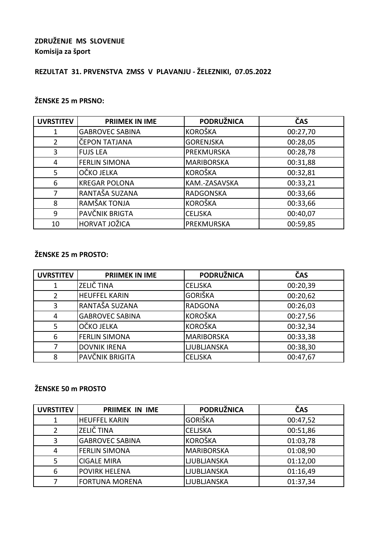### **ZDRUŽENJE MS SLOVENIJE Komisija za šport**

# **REZULTAT 31. PRVENSTVA ZMSS V PLAVANJU - ŽELEZNIKI, 07.05.2022**

### **ŽENSKE 25 m PRSNO:**

| <b>UVRSTITEV</b> | <b>PRIIMEK IN IME</b>  | <b>PODRUŽNICA</b> | ČAS      |
|------------------|------------------------|-------------------|----------|
| 1                | <b>GABROVEC SABINA</b> | <b>KOROŠKA</b>    | 00:27,70 |
| 2                | ČEPON TATJANA          | <b>GORENJSKA</b>  | 00:28,05 |
| 3                | <b>FUJS LEA</b>        | PREKMURSKA        | 00:28,78 |
| 4                | <b>FERLIN SIMONA</b>   | <b>MARIBORSKA</b> | 00:31,88 |
| 5                | OČKO JELKA             | <b>KOROŠKA</b>    | 00:32,81 |
| 6                | <b>KREGAR POLONA</b>   | KAM.-ZASAVSKA     | 00:33,21 |
|                  | RANTAŠA SUZANA         | <b>RADGONSKA</b>  | 00:33,66 |
| 8                | RAMŠAK TONJA           | <b>KOROŠKA</b>    | 00:33,66 |
| 9                | PAVČNIK BRIGTA         | <b>CELJSKA</b>    | 00:40,07 |
| 10               | HORVAT JOŽICA          | PREKMURSKA        | 00:59,85 |

#### **ŽENSKE 25 m PROSTO:**

| <b>UVRSTITEV</b> | <b>PRIIMEK IN IME</b>  | <b>PODRUŽNICA</b> | ČAS      |
|------------------|------------------------|-------------------|----------|
|                  | <b>ZELIČ TINA</b>      | <b>CELJSKA</b>    | 00:20,39 |
| 2                | <b>HEUFFEL KARIN</b>   | <b>GORIŠKA</b>    | 00:20,62 |
| 3                | RANTAŠA SUZANA         | <b>RADGONA</b>    | 00:26,03 |
| 4                | <b>GABROVEC SABINA</b> | <b>KOROŠKA</b>    | 00:27,56 |
| 5                | OČKO JELKA             | <b>KOROŠKA</b>    | 00:32,34 |
| 6                | <b>FERLIN SIMONA</b>   | <b>MARIBORSKA</b> | 00:33,38 |
|                  | <b>DOVNIK IRENA</b>    | LJUBLJANSKA       | 00:38,30 |
| Я                | PAVČNIK BRIGITA        | <b>CELJSKA</b>    | 00:47,67 |

#### **ŽENSKE 50 m PROSTO**

| <b>UVRSTITEV</b> | <b>PRIIMEK IN IME</b>  | <b>PODRUŽNICA</b>  | ČAS      |
|------------------|------------------------|--------------------|----------|
|                  | <b>HEUFFEL KARIN</b>   | <b>GORIŠKA</b>     | 00:47,52 |
|                  | ZELIČ TINA             | <b>CELJSKA</b>     | 00:51,86 |
| 3                | <b>GABROVEC SABINA</b> | <b>KOROŠKA</b>     | 01:03,78 |
|                  | <b>FERLIN SIMONA</b>   | <b>MARIBORSKA</b>  | 01:08,90 |
|                  | <b>CIGALE MIRA</b>     | LJUBLJANSKA        | 01:12,00 |
| 6                | <b>POVIRK HELENA</b>   | <b>LJUBLJANSKA</b> | 01:16,49 |
|                  | <b>FORTUNA MORENA</b>  | <b>LJUBLJANSKA</b> | 01:37,34 |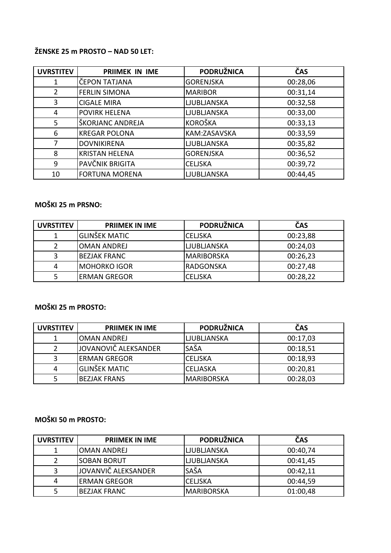### **ŽENSKE 25 m PROSTO – NAD 50 LET:**

| <b>UVRSTITEV</b> | <b>PRIIMEK IN IME</b> | <b>PODRUŽNICA</b>  | ČAS      |
|------------------|-----------------------|--------------------|----------|
| 1                | ČEPON TATJANA         | <b>GORENJSKA</b>   | 00:28,06 |
| 2                | <b>FERLIN SIMONA</b>  | <b>MARIBOR</b>     | 00:31,14 |
| 3                | <b>CIGALE MIRA</b>    | <b>LJUBLJANSKA</b> | 00:32,58 |
| 4                | <b>POVIRK HELENA</b>  | <b>LJUBLJANSKA</b> | 00:33,00 |
| 5                | ŠKORJANC ANDREJA      | <b>KOROŠKA</b>     | 00:33,13 |
| 6                | <b>KREGAR POLONA</b>  | KAM:ZASAVSKA       | 00:33,59 |
| 7                | <b>DOVNIKIRENA</b>    | <b>LJUBLJANSKA</b> | 00:35,82 |
| 8                | <b>KRISTAN HELENA</b> | <b>GORENJSKA</b>   | 00:36,52 |
| 9                | PAVČNIK BRIGITA       | <b>CELJSKA</b>     | 00:39,72 |
| 10               | <b>FORTUNA MORENA</b> | <b>LJUBLJANSKA</b> | 00:44,45 |

# **MOŠKI 25 m PRSNO:**

| <b>UVRSTITEV</b> | <b>PRIIMEK IN IME</b> | <b>PODRUŽNICA</b>  | ČAS      |
|------------------|-----------------------|--------------------|----------|
|                  | <b>GLINŠEK MATIC</b>  | <b>CELISKA</b>     | 00:23,88 |
|                  | <b>OMAN ANDREJ</b>    | <b>LJUBLJANSKA</b> | 00:24,03 |
|                  | <b>BEZJAK FRANC</b>   | <b>MARIBORSKA</b>  | 00:26,23 |
| 4                | <b>MOHORKO IGOR</b>   | <b>RADGONSKA</b>   | 00:27,48 |
|                  | <b>ERMAN GREGOR</b>   | <b>CELJSKA</b>     | 00:28,22 |

# **MOŠKI 25 m PROSTO:**

| <b>UVRSTITEV</b> | <b>PRIIMEK IN IME</b> | <b>PODRUŽNICA</b>  | ČAS      |
|------------------|-----------------------|--------------------|----------|
|                  | <b>OMAN ANDREJ</b>    | <b>LJUBLJANSKA</b> | 00:17,03 |
|                  | JOVANOVIČ ALEKSANDER  | SAŠA               | 00:18,51 |
|                  | <b>ERMAN GREGOR</b>   | <b>CELJSKA</b>     | 00:18,93 |
|                  | <b>GLINŠEK MATIC</b>  | <b>CELJASKA</b>    | 00:20,81 |
|                  | <b>BEZJAK FRANS</b>   | <b>MARIBORSKA</b>  | 00:28,03 |

## **MOŠKI 50 m PROSTO:**

| <b>UVRSTITEV</b> | <b>PRIIMEK IN IME</b> | <b>PODRUŽNICA</b> | ČAS      |
|------------------|-----------------------|-------------------|----------|
|                  | <b>OMAN ANDREJ</b>    | LJUBLJANSKA       | 00:40,74 |
|                  | <b>SOBAN BORUT</b>    | LJUBLJANSKA       | 00:41,45 |
|                  | JOVANVIČ ALEKSANDER   | SAŠA              | 00:42,11 |
| 4                | <b>ERMAN GREGOR</b>   | <b>CELISKA</b>    | 00:44,59 |
|                  | <b>BEZJAK FRANC</b>   | <b>MARIBORSKA</b> | 01:00,48 |